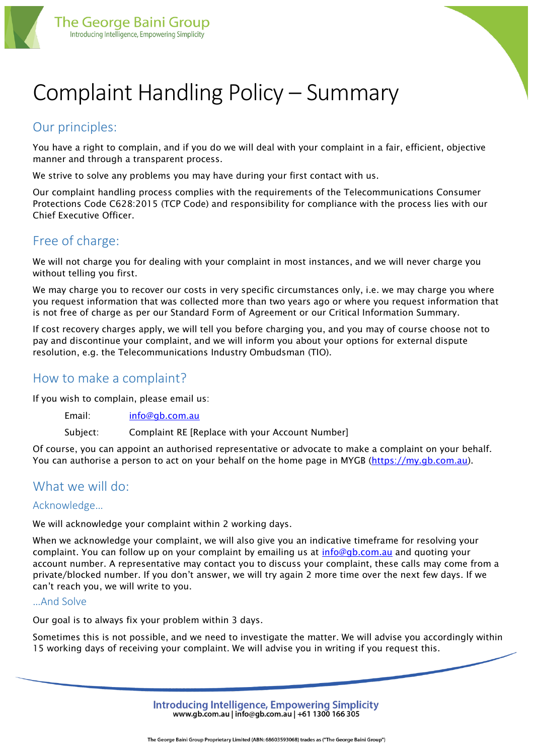

# Complaint Handling Policy – Summary

# Our principles:

You have a right to complain, and if you do we will deal with your complaint in a fair, efficient, objective manner and through a transparent process.

We strive to solve any problems you may have during your first contact with us.

Our complaint handling process complies with the requirements of the Telecommunications Consumer Protections Code C628:2015 (TCP Code) and responsibility for compliance with the process lies with our Chief Executive Officer.

## Free of charge:

We will not charge you for dealing with your complaint in most instances, and we will never charge you without telling you first.

We may charge you to recover our costs in very specific circumstances only, i.e. we may charge you where you request information that was collected more than two years ago or where you request information that is not free of charge as per our Standard Form of Agreement or our Critical Information Summary.

If cost recovery charges apply, we will tell you before charging you, and you may of course choose not to pay and discontinue your complaint, and we will inform you about your options for external dispute resolution, e.g. the Telecommunications Industry Ombudsman (TIO).

### How to make a complaint?

If you wish to complain, please email us:

Email: [info@gb.com.au](mailto:info@gb.com.au)

Subject: Complaint RE [Replace with your Account Number]

Of course, you can appoint an authorised representative or advocate to make a complaint on your behalf. You can authorise a person to act on your behalf on the home page in MYGB [\(https://my.gb.com.au\)](https://my.gb.com.au/).

## What we will do:

#### Acknowledge…

We will acknowledge your complaint within 2 working days.

When we acknowledge your complaint, we will also give you an indicative timeframe for resolving your complaint. You can follow up on your complaint by emailing us at [info@gb.com.au](mailto:info@gb.com.au) and quoting your account number. A representative may contact you to discuss your complaint, these calls may come from a private/blocked number. If you don't answer, we will try again 2 more time over the next few days. If we can't reach you, we will write to you.

#### …And Solve

Our goal is to always fix your problem within 3 days.

Sometimes this is not possible, and we need to investigate the matter. We will advise you accordingly within 15 working days of receiving your complaint. We will advise you in writing if you request this.

> Introducing Intelligence, Empowering Simplicity www.gb.com.au | info@gb.com.au | +61 1300 166 305